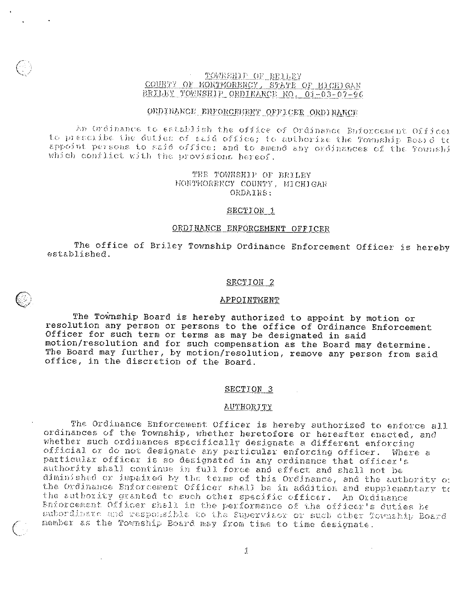## TOWESHIP OF BEILEY COURTY OF MONTMORENCY, STATE OF MICHIGAN BRILEY TOWNSHIP ORDINANCE NO. 01-03-07-96

## ORDINANCE ENFORCEMENT OFFICER ORDINANCE

An Ordinance to establish the office of Ordinance Enforcement Office: to prescribe the duties of said office; to authorize the Township Board to appoint persons to said office; and to amend any ordinances of the fownshi which conflict with the provisions hereof.

## THE TOWNSHIP OF BRILEY MONTMORENCY COUNTY, MICHIGAR ORDAINS:

### SECTION 1

## ORDINANCE ENFORCEMENT OFFICER

The office of Briley Township Ordinance Enforcement Officer is hereby established.

#### SECTION 2

#### APPOINTMENT

The Township Board is hereby authorized to appoint by motion or resolution any person or persons to the office of Ordinance Enforcement Officer for such term or terms as may be designated in said motion/resolution and for such compensation as the Board may determine. The Board may further, by motion/resolution, remove any person from said office, in the discretion of the Board.

#### SECTION<sub>3</sub>

#### **AUTHORITY**

The Ordinance Enforcement Officer is hereby authorized to enforce all ordinances of the Township, whether heretofore or hereafter enacted, and whether such ordinances specifically designate a different enforcing official or do not designate any particular enforcing officer. Where a particular officer is so designated in any ordinance that officer's<br>authority shall continue in full force and effect and shall not be diminished or impaired by the terms of this Ordinance, and the authority of the Ordinance Enforcement Officer shall be in addition and supplementary to the authority granted to such other specific officer. An Ordinance Enforcement Officer shall in the performance of the officer's duties be subordinate and responsible to the Supervisor or such other Township Board member as the Township Board may from time to time designate.

 $\mathfrak I$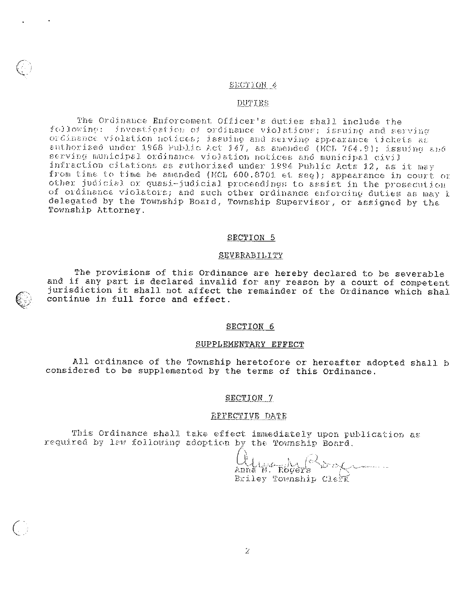## SECTION 4

## DUTIES

The Ordinance Enforcement Officer's duties shall include the following: investigation of ordinance violations; issuing and serving<br>ordinance violation notices; issuing and serving appearance tickets as authorized under 1968 Public Act 147, as amended (MCL 764.9); issuing and serving municipal ordinance violation notices and municipal civil infraction citations as authorized under 1994 Public Acts 12, as it may from time to time be amended (MCL 600.8701 et seq); appearance in court or other judicial or quasi-judicial proceedings to assist in the prosecution of ordinance violators; and such other ordinance enforcing duties as may t delegated by the Township Board, Township Supervisor, or assigned by the Township Attorney.

#### SECTION 5

#### SEVERABILITY

The provisions of this Ordinance are hereby declared to be severable and if any part is declared invalid for any reason by a court of competent jurisdiction it shall not affect the remainder of the Ordinance which shal continue in full force and effect.

#### SECTION 6

#### SUPPLEMENTARY EFFECT

All ordinance of the Township heretofore or hereafter adopted shall b considered to be supplemented by the terms of this Ordinance.

SECTION 7

## EFFECTIVE DATE

This Ordinance shall take effect immediately upon publication as required by law following adoption by the Township Board.

Clima M. Rogers of Briley Township Clerk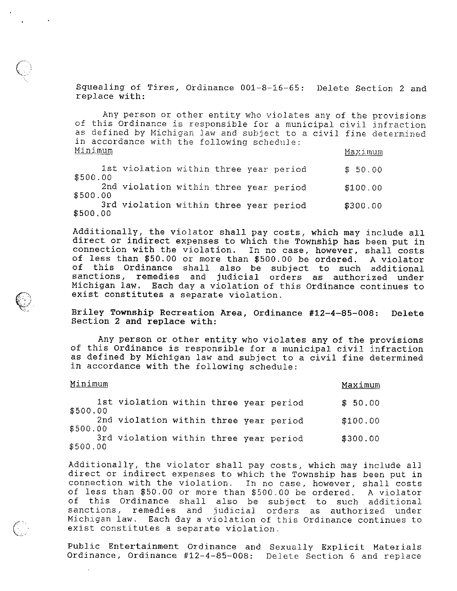Squealing of Tires, Ordinance 001—8—16—65: Delete Section <sup>2</sup> and replace with:

Any person or other entity who violates any of the provisions of this Ordinance is responsible for a municipal civil infraction as defined by Michigan law and subject to a civil fine determined in accordance with the following schedule: Minimum Maximum

| \$500.00 | 1st violation within three year period |  |  | \$50.00  |
|----------|----------------------------------------|--|--|----------|
| \$500.00 | 2nd violation within three year period |  |  | \$100.00 |
| \$500.00 | 3rd violation within three year period |  |  | \$300.00 |

Additionally, the violator shall pay costs, which may include all direct or indirect expenses to which the Township has been put in connection with the violation. In no case, however, shall costs of less than \$50.00 or more than \$500.00 be ordered. <sup>A</sup> violator of this Ordinance shall also be subject to such additional sanctions, remedies and judicial orders as authorized under Michigan law, Each day <sup>a</sup> violation of this Ordinance continues to exist constitutes <sup>a</sup> separate violation.

Briley Township Recreation Area, Ordinance #12—4—85—008: Delete Section <sup>2</sup> and replace with:

Any person or other entity who violates any of the provisions of this Ordinance is responsible for <sup>a</sup> municipal civil infraction as defined by Michigan law and subject to <sup>a</sup> civil fine determined in accordance with the following schedule:

| Minimum  |                                        |  |  |  |  | Maximum  |
|----------|----------------------------------------|--|--|--|--|----------|
| \$500.00 | 1st violation within three year period |  |  |  |  | \$50.00  |
| \$500.00 | 2nd violation within three year period |  |  |  |  | \$100.00 |
| \$500.00 | 3rd violation within three year period |  |  |  |  | \$300.00 |

Additionally, the violator shall pay costs, which may include all direct or indirect expenses to which the Township has been put in connection with the violation. In no case, however, shall costs of less than \$50.00 or more than \$500.00 be ordered. <sup>A</sup> violator of this Ordinance shall also be subject to such additional sanctions, remedies and judicial orders as authorized under Michigan law. Each day <sup>a</sup> violation of this Ordinance continues to exist constitutes <sup>a</sup> separate violation,

Public Entertainment Ordinance and Sexually Explicit Materials Ordinance, Ordinance #12—4—85—008: Delete Section <sup>6</sup> and replace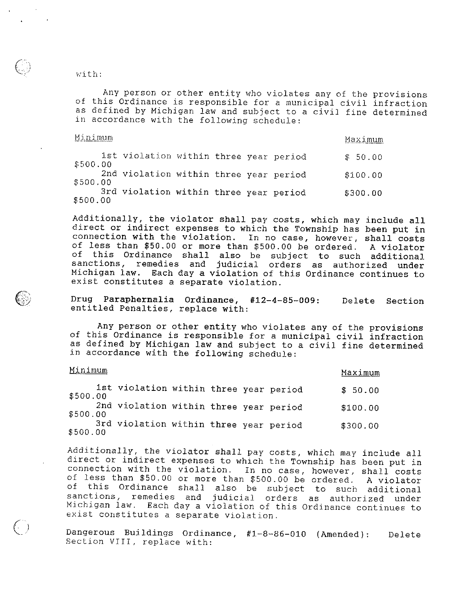with:

Any person or other entity who violates any of the provisions of this Ordinance is responsible for <sup>a</sup> municipal civil infraction as defined by Michigan law and subject to <sup>a</sup> civil fine determined in accordance with the following schedule:

Minimum Maximum

| \$500.00 | 1st violation within three year period |  |  | \$50.00  |
|----------|----------------------------------------|--|--|----------|
| \$500.00 | 2nd violation within three year period |  |  | \$100.00 |
| \$500.00 | 3rd violation within three year period |  |  | \$300.00 |

Additionally, the violator shall pay costs, which may include all direct or indirect expenses to which the Township has been put in affect of finallect expenses to which the fownship has been put in<br>connection with the violation. In no case, however, shall costs connection with the violation. In no case, however, shall costs<br>of less than \$50.00 or more than \$500.00 be ordered. A violator of this Ordinance shall also be subject to such additional sanctions, remedies and judicial orders as authorized under Michigan law. Each day <sup>a</sup> violation of this Ordinance continues to exist constitutes <sup>a</sup> separate violation.

Drug Paraphernalia Ordinance, #12—4—85—009: Delete Section entitled Penalties, replace with:

Any person or other entity who violates any of the provisions of this Ordinance is responsible for <sup>a</sup> municipal civil infraction as defined by Michigan law and subject to <sup>a</sup> civil fine determined in accordance with the following schedule:

# Minimum Maximum Maximum 1st violation within three year period  $$50.00$ \$500.00 2nd violation within three year period \$100.00 \$500.00 3rd violation within three year period \$300.00 \$500.00

Additionally, the violator shall pay costs, which may include all direct or indirect expenses to which the Township has been put in connection with the violation. In no case, however, shall costs of less than \$50.00 or more than \$500.00 be ordered. <sup>A</sup> violator of this Ordinance shall also be subject to such additional sanctions, remedies and judicial orders as authorized under Michigan law. Each day <sup>a</sup> violation of this Ordinance continues to exist constitutes <sup>a</sup> separate violation.

Dangerous Buildings Ordinance, #l-8--86—01O (Amended): Delete Section VIII, replace with: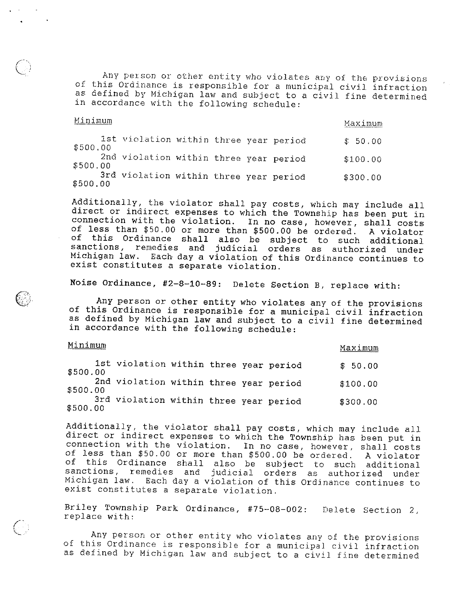Any person or other entity who violates any of the provisions of this Ordinance is responsible for <sup>a</sup> municipal civil infraction as defined by Michigan law and subject to <sup>a</sup> civil fine determined in accordance with the following schedule:

#### Minimum

<u>Maximum</u>

1st violation within three year period  $$50.00$ \$500.00 2nd violation within three year period \$100.00 \$500.00

3rd violation within three year period \$300.00 \$500.00

Additionally, the violator shall pay costs, which may include all direct or indirect expenses to which the Township has been put in connection with the violation. In no case, however, shall costs of less than \$50.00 or more than \$500.00 be ordered. <sup>A</sup> violator of fess than  $\psi$ 50.00 of more than  $\psi$ 500.00 be ordered. A violator<br>of this Ordinance shall also be subject to such additional of this ordinance shall also be subject to such additional<br>sanctions, remedies and judicial orders as authorized under sanctions, remedies and judicial orders as authorized under<br>Michigan law. Each day a violation of this Ordinance continues to exist constitutes <sup>a</sup> separate violation.

Noise Ordinance, \*2—8—10—89: Delete Section B, replace with:

Any person or other entity who violates any of the provisions of this Ordinance is responsible for <sup>a</sup> municipal civil infraction as defined by Michigan law and subject to <sup>a</sup> civil fine determined in accordance with the following schedule:

# Minimum Maximum Maximum Maximum Maximum Maximum Maximum Maximum Maximum Maximum Maximum Maximum Maximum Maximum

1st violation within three year period  $$50.00$ \$500.00 2nd violation within three year period  $$100.00$ \$500.00 3rd violation within three year period \$300.00 \$500.00

Additionally, the violator shall pay costs, which may include all direct or indirect expenses to which the Township has been put in connection with the violation. In no case, however, shall costs of less than \$50.00 or more than \$500.00 be ordered. <sup>A</sup> violator of this Ordinance shall also be subject to such additional sanctions, remedies and judicial orders as authorized under Michigan law, Each day <sup>a</sup> violation of this Ordinance continues to exist constitutes <sup>a</sup> separate violation.

Briley Township Park Ordinance, #75—08—002: Delete Section 2, replace with:

Any person or other entity who violates any of the provisions of this Ordinance is responsible for <sup>a</sup> municipal civil infraction as defined by Michigan law and subject to <sup>a</sup> civil fine determined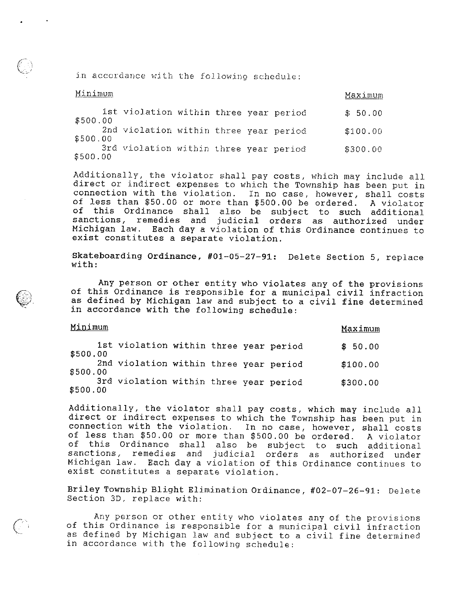in accordance with the following schedule:

| Minimum  |                                        |  |  | Maximum  |
|----------|----------------------------------------|--|--|----------|
| \$500.00 | 1st violation within three year period |  |  | \$50.00  |
| \$500.00 | 2nd violation within three year period |  |  | \$100.00 |
| \$500.00 | 3rd violation within three year period |  |  | \$300.00 |

Additionally, the violator shall pay costs, which may include all direct or indirect expenses to which the Township has been put in connection with the violation. In no case, however, shall costs of less than \$50.00 or more than \$500.00 be ordered. <sup>A</sup> violator of this Ordinance shall also be subject to such additional sanctions, remedies and judicial orders as authorized under Michigan law. Each day <sup>a</sup> violation of this Ordinance continues to exist constitutes <sup>a</sup> separate violation.

Skateboarding Ordinance, #01—05—27—91: Delete Section 5, replace with:

Any person or other entity who violates any of the provisions of this Ordinance is responsible for <sup>a</sup> municipal civil infraction as defined by Michigan law and subject to <sup>a</sup> civil fine determined in accordance with the following schedule:

# Minimum Maximum

1st violation within three year period  $$50.00$ \$500.00 2nd violation within three year period  $$100.00$ \$500.00 3rd violation within three year period  $$300.00$ \$500.00

Additionally, the violator shall pay costs, which may include all direct or indirect expenses to which the Township has been put in affect of indiffect expenses to which the fownship has been put in<br>connection with the violation. In no case, however, shall costs connection with the violation. In no case, however, shall costs<br>of less than \$50.00 or more than \$500.00 be ordered. A violator of this Ordinance shall also be subject to such additional sanctions, remedies and judicial orders as authorized under Michigan law. Each day <sup>a</sup> violation of this Ordinance continues to exist constitutes <sup>a</sup> separate violation.

Briley Township Blight Elimination Ordinance, #02—07—26—91: Delete Section 30, replace with:

Any person or other entity who violates any of the provisions of this Ordinance is responsible for <sup>a</sup> municipal civil infraction as defined by Michigan law and subject to <sup>a</sup> civil fine determined in accordance with the following schedule: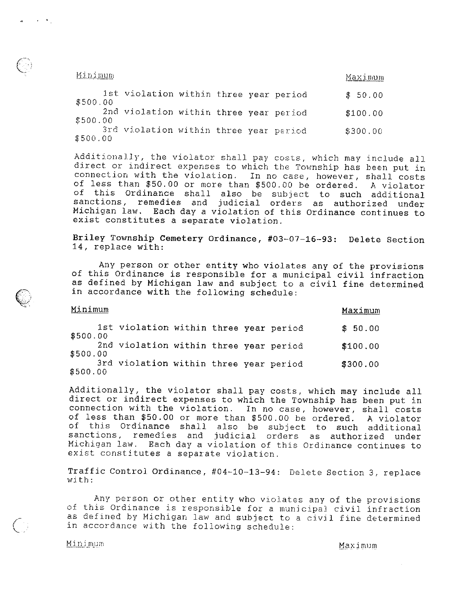1. <u>Minimum</u><br>11 i romanum - Antonio II i romanum - Antonio II i romanum - Maximum - Maximum - Maximum - Maximum - Maximum -

| \$500.00 | 1st violation within three year period |  |  | \$50.00  |
|----------|----------------------------------------|--|--|----------|
| \$500.00 | 2nd violation within three year period |  |  | \$100.00 |
| \$500.00 | 3rd violation within three year period |  |  | \$300,00 |

Additionally, the violator shall pay costs, which may include all direct or indirect expenses to which the Township has been put in connection with the violation. In no case, however, shall costs of less than \$50.00 or more than \$500.00 he ordered. <sup>A</sup> violator of this Ordinance shall also be subject to such additional sanctions, remedies and judicial orders as authorized under Michigan law. Each day <sup>a</sup> violation of this Ordinance continues to exist constitutes <sup>a</sup> separate violation.

Briley Township Cemetery Ordinance, #03—07—16—93: Delete Section 14, replace with:

Any person or other entity who violates any of the provisions of this Ordinance is responsible for <sup>a</sup> municipal civil infraction as defined by Michigan law and subject to <sup>a</sup> civil fine determined in accordance with the following schedule:

| Minimum  |                                        |  |  |  |  | Maximum  |  |
|----------|----------------------------------------|--|--|--|--|----------|--|
| \$500.00 | 1st violation within three year period |  |  |  |  | \$50.00  |  |
| \$500.00 | 2nd violation within three year period |  |  |  |  | \$100.00 |  |
| \$500.00 | 3rd violation within three year period |  |  |  |  | \$300.00 |  |

Additionally, the violator shall pay costs, which may include all direct or indirect expenses to which the Township has been put in connection with the violation. In no case, however, shall costs of less than \$50.00 or more than \$500.00 be ordered. <sup>A</sup> violator of this Ordinance shall also be subject to such additional sanctions, remedies and judicial orders as authorized under Michigan law. Each day <sup>a</sup> violation of this Ordinance continues to exist constitutes <sup>a</sup> separate violation.

Traffic Control Ordinance, #04—10—13—94: Delete Section 3, replace with:

Any person or other entity who violates any of the provisions of this Ordinance is responsible for <sup>a</sup> municipal civil infraction as defined by Michigan law and subject to <sup>a</sup> civil fine determined in accordance with the following schedule:

 $\bigcirc$